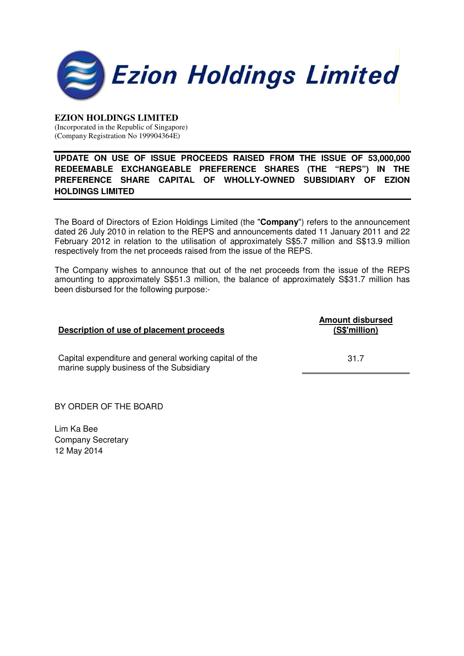

### **EZION HOLDINGS LIMITED**

(Incorporated in the Republic of Singapore) (Company Registration No 199904364E)

# **UPDATE ON USE OF ISSUE PROCEEDS RAISED FROM THE ISSUE OF 53,000,000 REDEEMABLE EXCHANGEABLE PREFERENCE SHARES (THE "REPS") IN THE PREFERENCE SHARE CAPITAL OF WHOLLY-OWNED SUBSIDIARY OF EZION HOLDINGS LIMITED**

The Board of Directors of Ezion Holdings Limited (the "**Company**") refers to the announcement dated 26 July 2010 in relation to the REPS and announcements dated 11 January 2011 and 22 February 2012 in relation to the utilisation of approximately S\$5.7 million and S\$13.9 million respectively from the net proceeds raised from the issue of the REPS.

The Company wishes to announce that out of the net proceeds from the issue of the REPS amounting to approximately S\$51.3 million, the balance of approximately S\$31.7 million has been disbursed for the following purpose:-

### **Description of use of placement proceeds**

**Amount disbursed (S\$'million)**

31.7

Capital expenditure and general working capital of the marine supply business of the Subsidiary

BY ORDER OF THE BOARD

Lim Ka Bee Company Secretary 12 May 2014